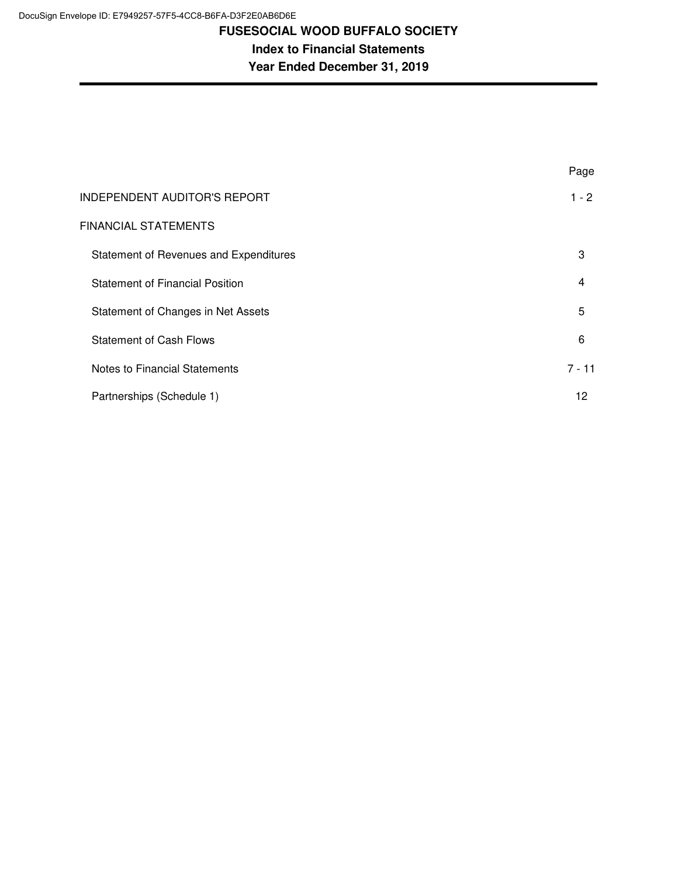|                                        | Page     |
|----------------------------------------|----------|
| <b>INDEPENDENT AUDITOR'S REPORT</b>    | $1 - 2$  |
| <b>FINANCIAL STATEMENTS</b>            |          |
| Statement of Revenues and Expenditures | 3        |
| <b>Statement of Financial Position</b> | 4        |
| Statement of Changes in Net Assets     | 5        |
| <b>Statement of Cash Flows</b>         | 6        |
| Notes to Financial Statements          | $7 - 11$ |
| Partnerships (Schedule 1)              | 12       |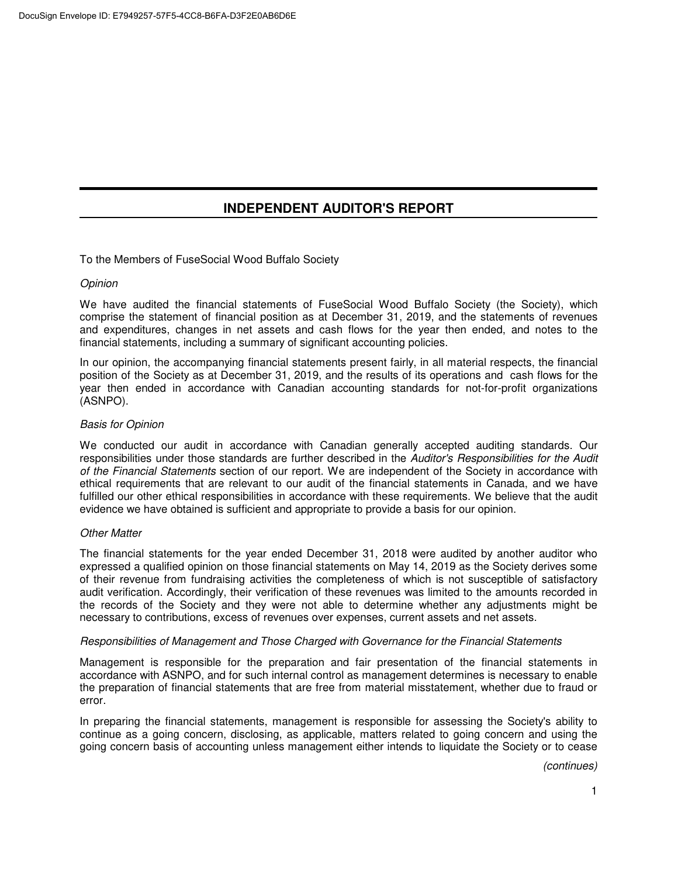# **INDEPENDENT AUDITOR'S REPORT**

To the Members of FuseSocial Wood Buffalo Society

### **Opinion**

We have audited the financial statements of FuseSocial Wood Buffalo Society (the Society), which comprise the statement of financial position as at December 31, 2019, and the statements of revenues and expenditures, changes in net assets and cash flows for the year then ended, and notes to the financial statements, including a summary of significant accounting policies.

In our opinion, the accompanying financial statements present fairly, in all material respects, the financial position of the Society as at December 31, 2019, and the results of its operations and cash flows for the year then ended in accordance with Canadian accounting standards for not-for-profit organizations (ASNPO).

### Basis for Opinion

We conducted our audit in accordance with Canadian generally accepted auditing standards. Our responsibilities under those standards are further described in the Auditor's Responsibilities for the Audit of the Financial Statements section of our report. We are independent of the Society in accordance with ethical requirements that are relevant to our audit of the financial statements in Canada, and we have fulfilled our other ethical responsibilities in accordance with these requirements. We believe that the audit evidence we have obtained is sufficient and appropriate to provide a basis for our opinion.

### Other Matter

The financial statements for the year ended December 31, 2018 were audited by another auditor who expressed a qualified opinion on those financial statements on May 14, 2019 as the Society derives some of their revenue from fundraising activities the completeness of which is not susceptible of satisfactory audit verification. Accordingly, their verification of these revenues was limited to the amounts recorded in the records of the Society and they were not able to determine whether any adjustments might be necessary to contributions, excess of revenues over expenses, current assets and net assets.

### Responsibilities of Management and Those Charged with Governance for the Financial Statements

Management is responsible for the preparation and fair presentation of the financial statements in accordance with ASNPO, and for such internal control as management determines is necessary to enable the preparation of financial statements that are free from material misstatement, whether due to fraud or error.

In preparing the financial statements, management is responsible for assessing the Society's ability to continue as a going concern, disclosing, as applicable, matters related to going concern and using the going concern basis of accounting unless management either intends to liquidate the Society or to cease

(continues)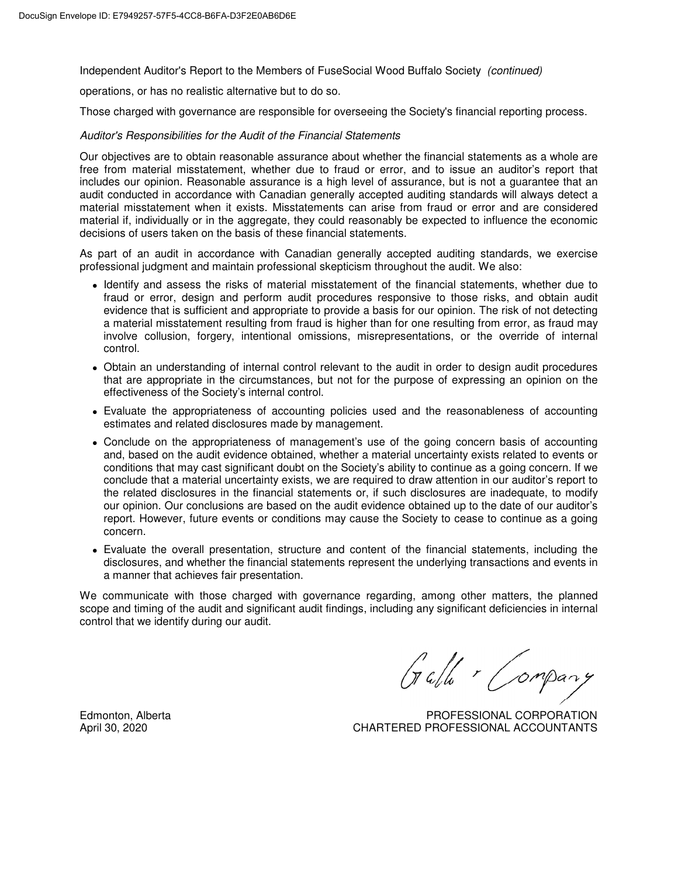Independent Auditor's Report to the Members of FuseSocial Wood Buffalo Society (continued)

operations, or has no realistic alternative but to do so.

Those charged with governance are responsible for overseeing the Society's financial reporting process.

#### Auditor's Responsibilities for the Audit of the Financial Statements

Our objectives are to obtain reasonable assurance about whether the financial statements as a whole are free from material misstatement, whether due to fraud or error, and to issue an auditor's report that includes our opinion. Reasonable assurance is a high level of assurance, but is not a guarantee that an audit conducted in accordance with Canadian generally accepted auditing standards will always detect a material misstatement when it exists. Misstatements can arise from fraud or error and are considered material if, individually or in the aggregate, they could reasonably be expected to influence the economic decisions of users taken on the basis of these financial statements.

As part of an audit in accordance with Canadian generally accepted auditing standards, we exercise professional judgment and maintain professional skepticism throughout the audit. We also:

- Identify and assess the risks of material misstatement of the financial statements, whether due to fraud or error, design and perform audit procedures responsive to those risks, and obtain audit evidence that is sufficient and appropriate to provide a basis for our opinion. The risk of not detecting a material misstatement resulting from fraud is higher than for one resulting from error, as fraud may involve collusion, forgery, intentional omissions, misrepresentations, or the override of internal control.
- Obtain an understanding of internal control relevant to the audit in order to design audit procedures that are appropriate in the circumstances, but not for the purpose of expressing an opinion on the effectiveness of the Society's internal control.
- Evaluate the appropriateness of accounting policies used and the reasonableness of accounting estimates and related disclosures made by management.
- Conclude on the appropriateness of management's use of the going concern basis of accounting and, based on the audit evidence obtained, whether a material uncertainty exists related to events or conditions that may cast significant doubt on the Society's ability to continue as a going concern. If we conclude that a material uncertainty exists, we are required to draw attention in our auditor's report to the related disclosures in the financial statements or, if such disclosures are inadequate, to modify our opinion. Our conclusions are based on the audit evidence obtained up to the date of our auditor's report. However, future events or conditions may cause the Society to cease to continue as a going concern.
- Evaluate the overall presentation, structure and content of the financial statements, including the disclosures, and whether the financial statements represent the underlying transactions and events in a manner that achieves fair presentation.

We communicate with those charged with governance regarding, among other matters, the planned scope and timing of the audit and significant audit findings, including any significant deficiencies in internal control that we identify during our audit.

Galler Company

Edmonton, Alberta **PROFESSIONAL CORPORATION** April 30, 2020 CHARTERED PROFESSIONAL ACCOUNTANTS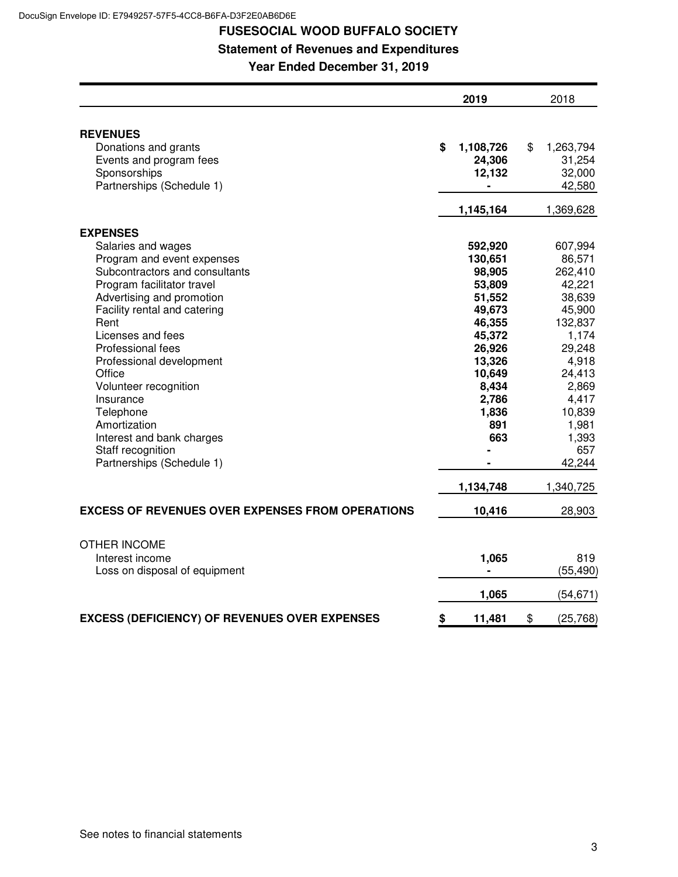**Statement of Revenues and Expenditures**

**Year Ended December 31, 2019**

|                                                         | 2019            | 2018            |
|---------------------------------------------------------|-----------------|-----------------|
|                                                         |                 |                 |
| <b>REVENUES</b>                                         |                 |                 |
| Donations and grants                                    | \$<br>1,108,726 | \$<br>1,263,794 |
| Events and program fees                                 | 24,306          | 31,254          |
| Sponsorships                                            | 12,132          | 32,000          |
| Partnerships (Schedule 1)                               |                 | 42,580          |
|                                                         | 1,145,164       | 1,369,628       |
| <b>EXPENSES</b>                                         |                 |                 |
| Salaries and wages                                      | 592,920         | 607,994         |
| Program and event expenses                              | 130,651         | 86,571          |
| Subcontractors and consultants                          | 98,905          | 262,410         |
| Program facilitator travel                              | 53,809          | 42,221          |
| Advertising and promotion                               | 51,552          | 38,639          |
| Facility rental and catering                            | 49,673          | 45,900          |
| Rent                                                    | 46,355          | 132,837         |
| Licenses and fees                                       | 45,372          | 1,174           |
| Professional fees                                       | 26,926          | 29,248          |
| Professional development                                | 13,326          | 4,918           |
| Office                                                  | 10,649          | 24,413          |
| Volunteer recognition                                   | 8,434           | 2,869           |
| Insurance                                               | 2,786           | 4,417           |
| Telephone                                               | 1,836           | 10,839          |
| Amortization                                            | 891             | 1,981           |
| Interest and bank charges                               | 663             | 1,393           |
| Staff recognition                                       |                 | 657             |
| Partnerships (Schedule 1)                               | $\blacksquare$  | 42,244          |
|                                                         | 1,134,748       | 1,340,725       |
| <b>EXCESS OF REVENUES OVER EXPENSES FROM OPERATIONS</b> | 10,416          | 28,903          |
|                                                         |                 |                 |
| <b>OTHER INCOME</b>                                     |                 |                 |
| Interest income                                         | 1,065           | 819             |
| Loss on disposal of equipment                           | $\blacksquare$  | (55, 490)       |
|                                                         | 1,065           | (54, 671)       |
| <b>EXCESS (DEFICIENCY) OF REVENUES OVER EXPENSES</b>    | \$<br>11,481    | \$<br>(25, 768) |
|                                                         |                 |                 |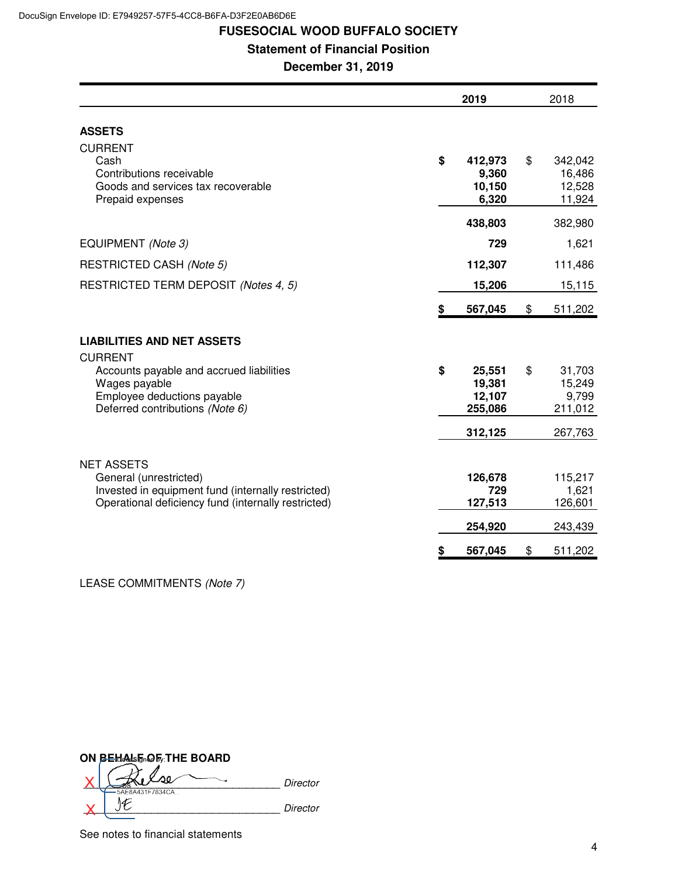**Statement of Financial Position**

**December 31, 2019**

|                                                                                                                                     | 2019                                                   | 2018                                                  |
|-------------------------------------------------------------------------------------------------------------------------------------|--------------------------------------------------------|-------------------------------------------------------|
| <b>ASSETS</b>                                                                                                                       |                                                        |                                                       |
| <b>CURRENT</b><br>Cash<br>Contributions receivable<br>Goods and services tax recoverable<br>Prepaid expenses                        | \$<br>412,973<br>9,360<br>10,150<br>6,320              | \$<br>342,042<br>16,486<br>12,528<br>11,924           |
|                                                                                                                                     | 438,803                                                | 382,980                                               |
| EQUIPMENT (Note 3)                                                                                                                  | 729                                                    | 1,621                                                 |
| RESTRICTED CASH (Note 5)                                                                                                            | 112,307                                                | 111,486                                               |
| RESTRICTED TERM DEPOSIT (Notes 4, 5)                                                                                                | 15,206                                                 | 15,115                                                |
|                                                                                                                                     | \$<br>567,045                                          | \$<br>511,202                                         |
| <b>LIABILITIES AND NET ASSETS</b><br><b>CURRENT</b>                                                                                 |                                                        |                                                       |
| Accounts payable and accrued liabilities<br>Wages payable<br>Employee deductions payable<br>Deferred contributions (Note 6)         | \$<br>25,551<br>19,381<br>12,107<br>255,086<br>312,125 | \$<br>31,703<br>15,249<br>9,799<br>211,012<br>267,763 |
| <b>NET ASSETS</b>                                                                                                                   |                                                        |                                                       |
| General (unrestricted)<br>Invested in equipment fund (internally restricted)<br>Operational deficiency fund (internally restricted) | 126,678<br>729<br>127,513<br>254,920                   | 115,217<br>1,621<br>126,601<br>243,439                |
|                                                                                                                                     | \$<br>567,045                                          | \$<br>511,202                                         |

LEASE COMMITMENTS (Note 7)

| ON BEHALS FOR THE BOARD |          |
|-------------------------|----------|
| 5AE8A431F7834CA         | Director |
|                         | Director |

See notes to financial statements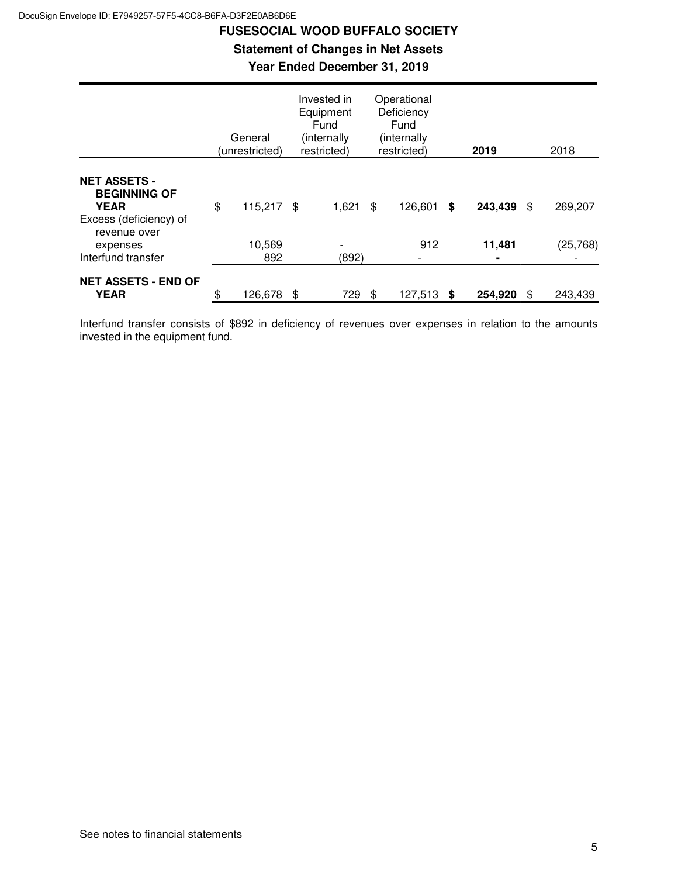# **FUSESOCIAL WOOD BUFFALO SOCIETY Statement of Changes in Net Assets**

## **Year Ended December 31, 2019**

|                                                                                                     | General<br>(unrestricted) | Invested in<br>Equipment<br>Fund<br>(internally<br>restricted) | Operational<br>Deficiency<br>Fund<br>(internally<br>restricted) | 2019          |      | 2018      |
|-----------------------------------------------------------------------------------------------------|---------------------------|----------------------------------------------------------------|-----------------------------------------------------------------|---------------|------|-----------|
| <b>NET ASSETS -</b><br><b>BEGINNING OF</b><br><b>YEAR</b><br>Excess (deficiency) of<br>revenue over | \$<br>115,217 \$          | 1,621                                                          | \$<br>126,601                                                   | \$<br>243,439 | \$   | 269,207   |
| expenses<br>Interfund transfer                                                                      | 10,569<br>892             | (892)                                                          | 912                                                             | 11,481        |      | (25, 768) |
| <b>NET ASSETS - END OF</b><br><b>YEAR</b>                                                           | \$<br>126,678 \$          | 729 \$                                                         | $127,513$ \$                                                    | 254,920       | - \$ | 243,439   |

Interfund transfer consists of \$892 in deficiency of revenues over expenses in relation to the amounts invested in the equipment fund.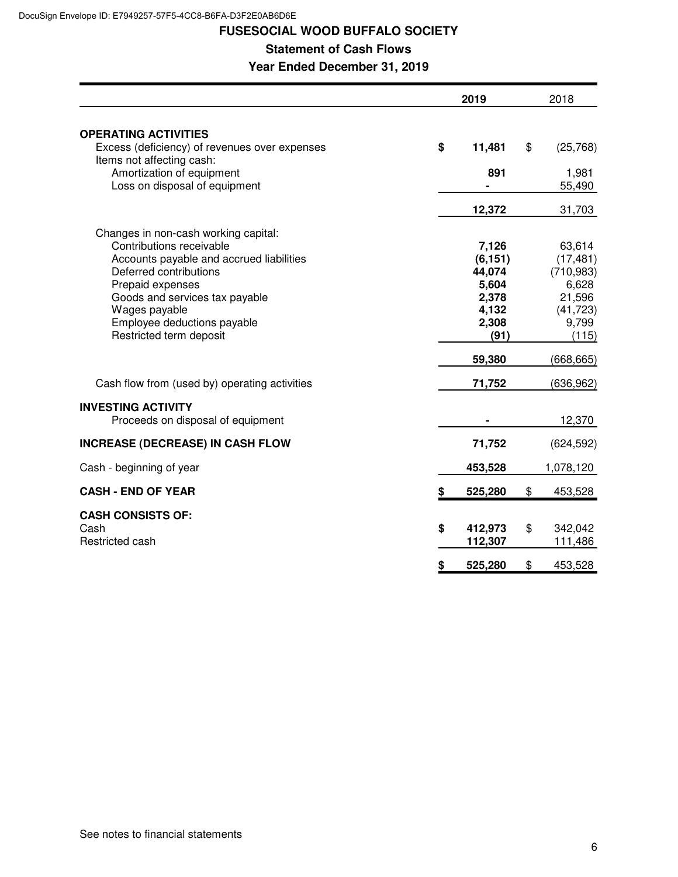## **Statement of Cash Flows**

## **Year Ended December 31, 2019**

|                                                                                                                                                                                                                                                                         | 2019                                                                                        |                | 2018                                                                                                        |
|-------------------------------------------------------------------------------------------------------------------------------------------------------------------------------------------------------------------------------------------------------------------------|---------------------------------------------------------------------------------------------|----------------|-------------------------------------------------------------------------------------------------------------|
| <b>OPERATING ACTIVITIES</b><br>Excess (deficiency) of revenues over expenses<br>Items not affecting cash:<br>Amortization of equipment                                                                                                                                  | \$<br>11,481<br>891                                                                         | $\mathfrak{F}$ | (25, 768)<br>1,981                                                                                          |
| Loss on disposal of equipment                                                                                                                                                                                                                                           |                                                                                             |                | 55,490                                                                                                      |
| Changes in non-cash working capital:<br>Contributions receivable<br>Accounts payable and accrued liabilities<br>Deferred contributions<br>Prepaid expenses<br>Goods and services tax payable<br>Wages payable<br>Employee deductions payable<br>Restricted term deposit | 12,372<br>7,126<br>(6, 151)<br>44,074<br>5,604<br>2,378<br>4,132<br>2,308<br>(91)<br>59,380 |                | 31,703<br>63,614<br>(17, 481)<br>(710, 983)<br>6,628<br>21,596<br>(41, 723)<br>9,799<br>(115)<br>(668, 665) |
| Cash flow from (used by) operating activities                                                                                                                                                                                                                           | 71,752                                                                                      |                | (636, 962)                                                                                                  |
| <b>INVESTING ACTIVITY</b><br>Proceeds on disposal of equipment                                                                                                                                                                                                          |                                                                                             |                | 12,370                                                                                                      |
| <b>INCREASE (DECREASE) IN CASH FLOW</b>                                                                                                                                                                                                                                 | 71,752                                                                                      |                | (624, 592)                                                                                                  |
| Cash - beginning of year                                                                                                                                                                                                                                                | 453,528                                                                                     |                | 1,078,120                                                                                                   |
| <b>CASH - END OF YEAR</b>                                                                                                                                                                                                                                               | \$<br>525,280                                                                               | \$             | 453,528                                                                                                     |
| <b>CASH CONSISTS OF:</b><br>Cash<br>Restricted cash                                                                                                                                                                                                                     | \$<br>412,973<br>112,307                                                                    | \$             | 342,042<br>111,486                                                                                          |
|                                                                                                                                                                                                                                                                         | \$<br>525,280                                                                               | \$             | 453,528                                                                                                     |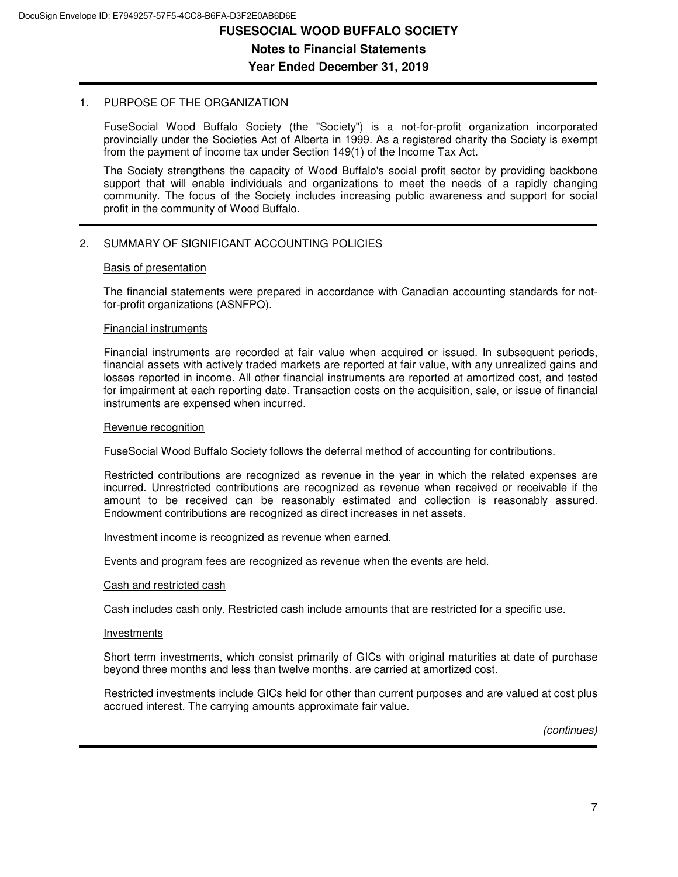## 1. PURPOSE OF THE ORGANIZATION

FuseSocial Wood Buffalo Society (the "Society") is a not-for-profit organization incorporated provincially under the Societies Act of Alberta in 1999. As a registered charity the Society is exempt from the payment of income tax under Section 149(1) of the Income Tax Act.

The Society strengthens the capacity of Wood Buffalo's social profit sector by providing backbone support that will enable individuals and organizations to meet the needs of a rapidly changing community. The focus of the Society includes increasing public awareness and support for social profit in the community of Wood Buffalo.

## 2. SUMMARY OF SIGNIFICANT ACCOUNTING POLICIES

#### Basis of presentation

The financial statements were prepared in accordance with Canadian accounting standards for notfor-profit organizations (ASNFPO).

#### Financial instruments

Financial instruments are recorded at fair value when acquired or issued. In subsequent periods, financial assets with actively traded markets are reported at fair value, with any unrealized gains and losses reported in income. All other financial instruments are reported at amortized cost, and tested for impairment at each reporting date. Transaction costs on the acquisition, sale, or issue of financial instruments are expensed when incurred.

#### Revenue recognition

FuseSocial Wood Buffalo Society follows the deferral method of accounting for contributions.

Restricted contributions are recognized as revenue in the year in which the related expenses are incurred. Unrestricted contributions are recognized as revenue when received or receivable if the amount to be received can be reasonably estimated and collection is reasonably assured. Endowment contributions are recognized as direct increases in net assets.

Investment income is recognized as revenue when earned.

Events and program fees are recognized as revenue when the events are held.

### Cash and restricted cash

Cash includes cash only. Restricted cash include amounts that are restricted for a specific use.

#### **Investments**

Short term investments, which consist primarily of GICs with original maturities at date of purchase beyond three months and less than twelve months. are carried at amortized cost.

Restricted investments include GICs held for other than current purposes and are valued at cost plus accrued interest. The carrying amounts approximate fair value.

(continues)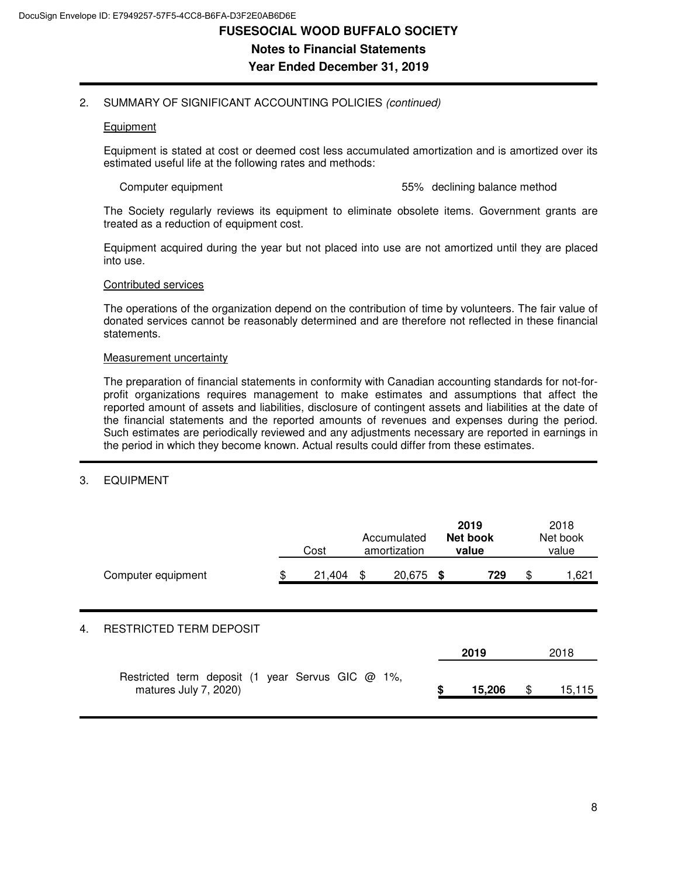## 2. SUMMARY OF SIGNIFICANT ACCOUNTING POLICIES (continued)

#### **Equipment**

Equipment is stated at cost or deemed cost less accumulated amortization and is amortized over its estimated useful life at the following rates and methods:

Computer equipment 55% declining balance method

The Society regularly reviews its equipment to eliminate obsolete items. Government grants are treated as a reduction of equipment cost.

Equipment acquired during the year but not placed into use are not amortized until they are placed into use.

#### Contributed services

The operations of the organization depend on the contribution of time by volunteers. The fair value of donated services cannot be reasonably determined and are therefore not reflected in these financial statements.

#### Measurement uncertainty

The preparation of financial statements in conformity with Canadian accounting standards for not-forprofit organizations requires management to make estimates and assumptions that affect the reported amount of assets and liabilities, disclosure of contingent assets and liabilities at the date of the financial statements and the reported amounts of revenues and expenses during the period. Such estimates are periodically reviewed and any adjustments necessary are reported in earnings in the period in which they become known. Actual results could differ from these estimates.

## 3. EQUIPMENT

|    |                                                                           | Cost |        | Accumulated<br>amortization |           | 2019<br>Net book<br>value |        | 2018<br>Net book<br>value |        |
|----|---------------------------------------------------------------------------|------|--------|-----------------------------|-----------|---------------------------|--------|---------------------------|--------|
|    | Computer equipment                                                        |      | 21,404 | \$                          | 20,675 \$ |                           | 729    | \$                        | 1,621  |
|    |                                                                           |      |        |                             |           |                           |        |                           |        |
| 4. | <b>RESTRICTED TERM DEPOSIT</b>                                            |      |        |                             |           |                           |        |                           |        |
|    |                                                                           |      |        |                             |           |                           | 2019   |                           | 2018   |
|    | Restricted term deposit (1 year Servus GIC @ 1%,<br>matures July 7, 2020) |      |        |                             |           | \$                        | 15,206 | \$                        | 15,115 |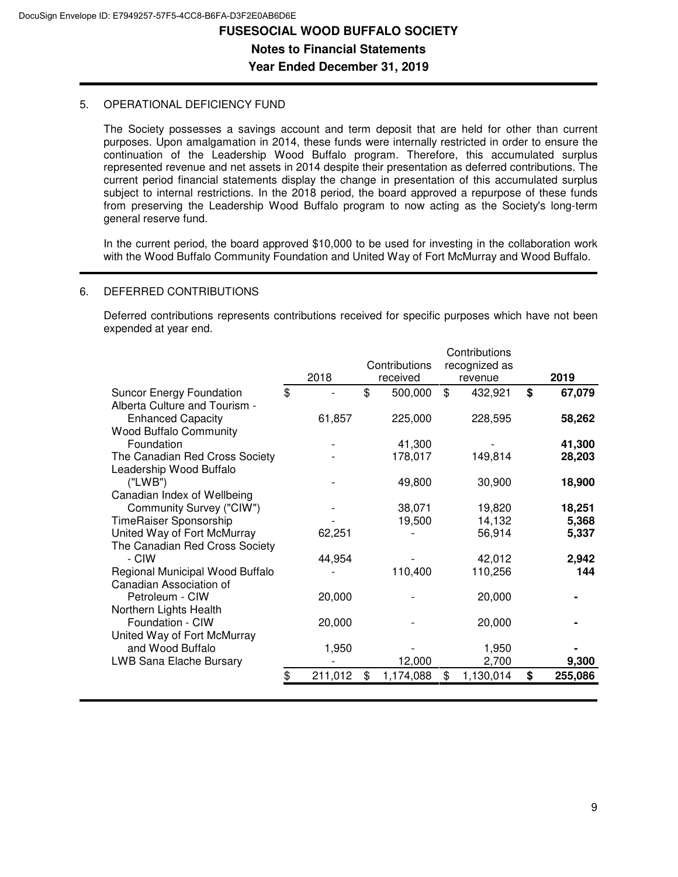## 5. OPERATIONAL DEFICIENCY FUND

The Society possesses a savings account and term deposit that are held for other than current purposes. Upon amalgamation in 2014, these funds were internally restricted in order to ensure the continuation of the Leadership Wood Buffalo program. Therefore, this accumulated surplus represented revenue and net assets in 2014 despite their presentation as deferred contributions. The current period financial statements display the change in presentation of this accumulated surplus subject to internal restrictions. In the 2018 period, the board approved a repurpose of these funds from preserving the Leadership Wood Buffalo program to now acting as the Society's long-term general reserve fund.

In the current period, the board approved \$10,000 to be used for investing in the collaboration work with the Wood Buffalo Community Foundation and United Way of Fort McMurray and Wood Buffalo.

## 6. DEFERRED CONTRIBUTIONS

Deferred contributions represents contributions received for specific purposes which have not been expended at year end.

|                                                                  |         |                 | Contributions   |               |
|------------------------------------------------------------------|---------|-----------------|-----------------|---------------|
|                                                                  |         | Contributions   | recognized as   |               |
|                                                                  | 2018    | received        | revenue         | 2019          |
| <b>Suncor Energy Foundation</b><br>Alberta Culture and Tourism - | \$      | \$<br>500,000   | \$<br>432,921   | \$<br>67,079  |
| <b>Enhanced Capacity</b><br><b>Wood Buffalo Community</b>        | 61,857  | 225,000         | 228,595         | 58,262        |
| Foundation                                                       |         | 41,300          |                 | 41,300        |
| The Canadian Red Cross Society<br>Leadership Wood Buffalo        |         | 178,017         | 149,814         | 28,203        |
| ('LWB')                                                          |         | 49,800          | 30,900          | 18,900        |
| Canadian Index of Wellbeing<br>Community Survey ("CIW")          |         | 38,071          | 19,820          | 18,251        |
| TimeRaiser Sponsorship                                           |         | 19,500          | 14,132          | 5,368         |
| United Way of Fort McMurray<br>The Canadian Red Cross Society    | 62,251  |                 | 56,914          | 5,337         |
| - CIW                                                            | 44,954  |                 | 42,012          | 2,942         |
| Regional Municipal Wood Buffalo<br>Canadian Association of       |         | 110,400         | 110,256         | 144           |
| Petroleum - CIW<br>Northern Lights Health                        | 20,000  |                 | 20,000          |               |
| Foundation - CIW                                                 | 20,000  |                 | 20,000          |               |
| United Way of Fort McMurray<br>and Wood Buffalo                  | 1,950   |                 | 1,950           |               |
| LWB Sana Elache Bursary                                          |         | 12,000          | 2,700           | 9,300         |
|                                                                  | 211,012 | \$<br>1,174,088 | \$<br>1,130,014 | \$<br>255,086 |
|                                                                  |         |                 |                 |               |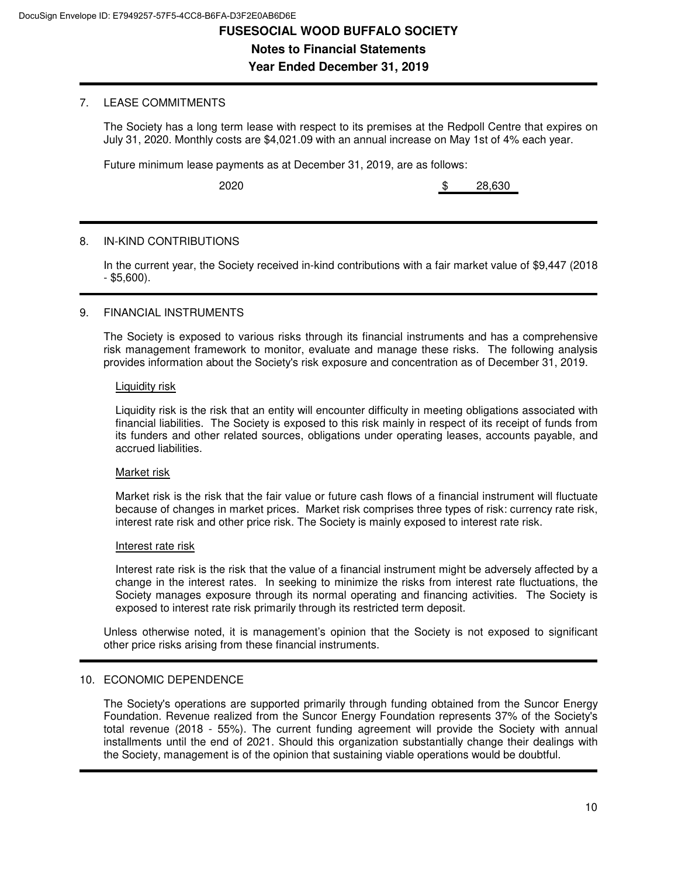## 7. LEASE COMMITMENTS

The Society has a long term lease with respect to its premises at the Redpoll Centre that expires on July 31, 2020. Monthly costs are \$4,021.09 with an annual increase on May 1st of 4% each year.

Future minimum lease payments as at December 31, 2019, are as follows:

2020 \$ 28,630

## 8. IN-KIND CONTRIBUTIONS

In the current year, the Society received in-kind contributions with a fair market value of \$9,447 (2018 - \$5,600).

### 9. FINANCIAL INSTRUMENTS

The Society is exposed to various risks through its financial instruments and has a comprehensive risk management framework to monitor, evaluate and manage these risks. The following analysis provides information about the Society's risk exposure and concentration as of December 31, 2019.

### Liquidity risk

Liquidity risk is the risk that an entity will encounter difficulty in meeting obligations associated with financial liabilities. The Society is exposed to this risk mainly in respect of its receipt of funds from its funders and other related sources, obligations under operating leases, accounts payable, and accrued liabilities.

### Market risk

Market risk is the risk that the fair value or future cash flows of a financial instrument will fluctuate because of changes in market prices. Market risk comprises three types of risk: currency rate risk, interest rate risk and other price risk. The Society is mainly exposed to interest rate risk.

### Interest rate risk

Interest rate risk is the risk that the value of a financial instrument might be adversely affected by a change in the interest rates. In seeking to minimize the risks from interest rate fluctuations, the Society manages exposure through its normal operating and financing activities. The Society is exposed to interest rate risk primarily through its restricted term deposit.

Unless otherwise noted, it is management's opinion that the Society is not exposed to significant other price risks arising from these financial instruments.

### 10. ECONOMIC DEPENDENCE

The Society's operations are supported primarily through funding obtained from the Suncor Energy Foundation. Revenue realized from the Suncor Energy Foundation represents 37% of the Society's total revenue (2018 - 55%). The current funding agreement will provide the Society with annual installments until the end of 2021. Should this organization substantially change their dealings with the Society, management is of the opinion that sustaining viable operations would be doubtful.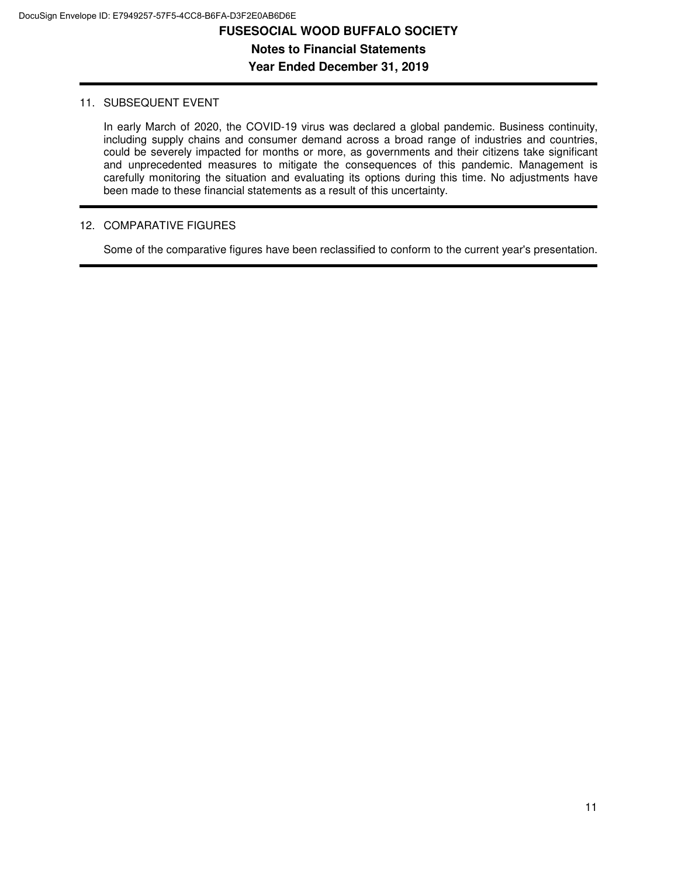## 11. SUBSEQUENT EVENT

In early March of 2020, the COVID-19 virus was declared a global pandemic. Business continuity, including supply chains and consumer demand across a broad range of industries and countries, could be severely impacted for months or more, as governments and their citizens take significant and unprecedented measures to mitigate the consequences of this pandemic. Management is carefully monitoring the situation and evaluating its options during this time. No adjustments have been made to these financial statements as a result of this uncertainty.

## 12. COMPARATIVE FIGURES

Some of the comparative figures have been reclassified to conform to the current year's presentation.